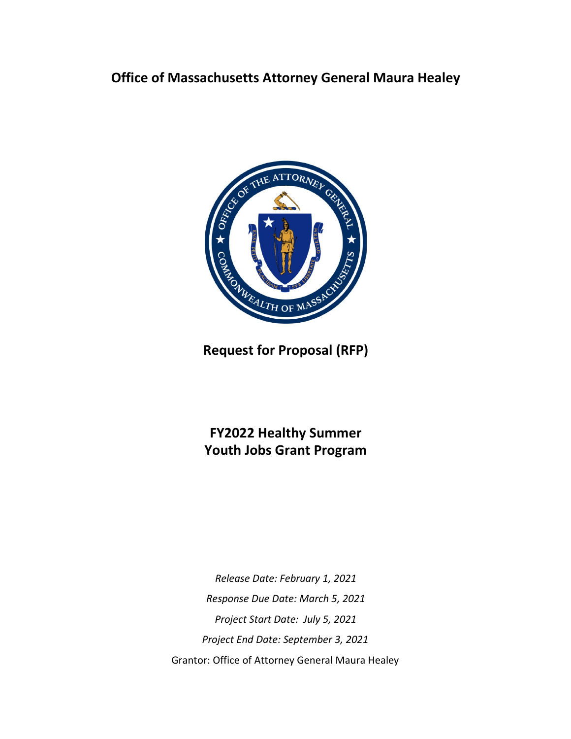# **Office of Massachusetts Attorney General Maura Healey**



**Request for Proposal (RFP)**

**FY2022 Healthy Summer Youth Jobs Grant Program**

*Release Date: February 1, 2021 Response Due Date: March 5, 2021 Project Start Date: July 5, 2021 Project End Date: September 3, 2021* Grantor: Office of Attorney General Maura Healey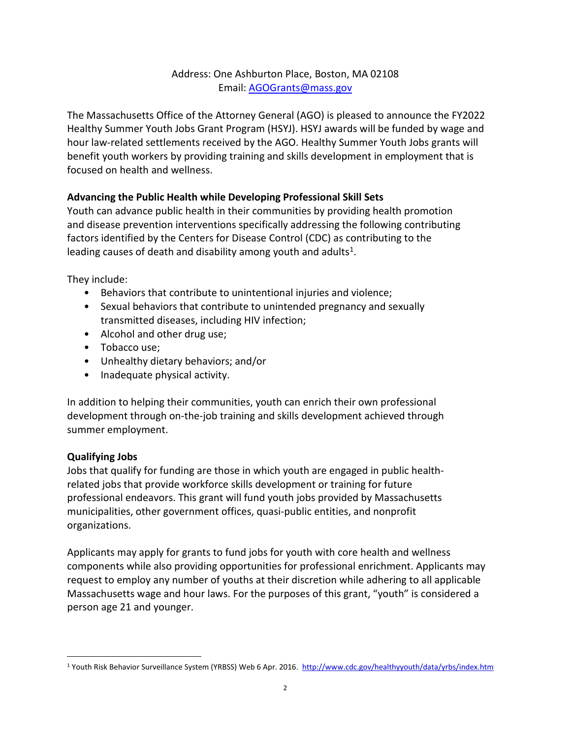## Address: One Ashburton Place, Boston, MA 02108 Email: [AGOGrants@mass.gov](mailto:AGOgrants@state.ma.us)

The Massachusetts Office of the Attorney General (AGO) is pleased to announce the FY2022 Healthy Summer Youth Jobs Grant Program (HSYJ). HSYJ awards will be funded by wage and hour law-related settlements received by the AGO. Healthy Summer Youth Jobs grants will benefit youth workers by providing training and skills development in employment that is focused on health and wellness.

## **Advancing the Public Health while Developing Professional Skill Sets**

Youth can advance public health in their communities by providing health promotion and disease prevention interventions specifically addressing the following contributing factors identified by the Centers for Disease Control (CDC) as contributing to the leading causes of death and disability among youth and adults<sup>[1](#page-1-0)</sup>.

They include:

- Behaviors that contribute to unintentional injuries and violence;
- Sexual behaviors that contribute to unintended pregnancy and sexually transmitted diseases, including HIV infection;
- Alcohol and other drug use;
- Tobacco use;
- Unhealthy dietary behaviors; and/or
- Inadequate physical activity.

In addition to helping their communities, youth can enrich their own professional development through on-the-job training and skills development achieved through summer employment.

#### **Qualifying Jobs**

Jobs that qualify for funding are those in which youth are engaged in public healthrelated jobs that provide workforce skills development or training for future professional endeavors. This grant will fund youth jobs provided by Massachusetts municipalities, other government offices, quasi-public entities, and nonprofit organizations.

Applicants may apply for grants to fund jobs for youth with core health and wellness components while also providing opportunities for professional enrichment. Applicants may request to employ any number of youths at their discretion while adhering to all applicable Massachusetts wage and hour laws. For the purposes of this grant, "youth" is considered a person age 21 and younger.

<span id="page-1-0"></span><sup>&</sup>lt;sup>1</sup> Youth Risk Behavior Surveillance System (YRBSS) Web 6 Apr. 2016. http://www.cdc.gov/healthyyouth/data/yrbs/index.htm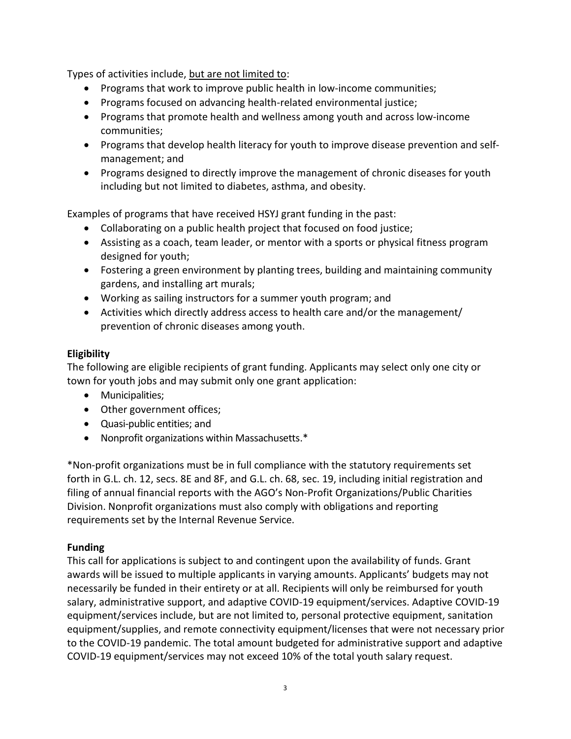Types of activities include, but are not limited to:

- Programs that work to improve public health in low-income communities;
- Programs focused on advancing health-related environmental justice;
- Programs that promote health and wellness among youth and across low-income communities;
- Programs that develop health literacy for youth to improve disease prevention and selfmanagement; and
- Programs designed to directly improve the management of chronic diseases for youth including but not limited to diabetes, asthma, and obesity.

Examples of programs that have received HSYJ grant funding in the past:

- Collaborating on a public health project that focused on food justice;
- Assisting as a coach, team leader, or mentor with a sports or physical fitness program designed for youth;
- Fostering a green environment by planting trees, building and maintaining community gardens, and installing art murals;
- Working as sailing instructors for a summer youth program; and
- Activities which directly address access to health care and/or the management/ prevention of chronic diseases among youth.

#### **Eligibility**

The following are eligible recipients of grant funding. Applicants may select only one city or town for youth jobs and may submit only one grant application:

- Municipalities;
- Other government offices;
- Quasi-public entities; and
- Nonprofit organizations within Massachusetts.\*

\*Non-profit organizations must be in full compliance with the statutory requirements set forth in G.L. ch. 12, secs. 8E and 8F, and G.L. ch. 68, sec. 19, including initial registration and filing of annual financial reports with the AGO's Non-Profit Organizations/Public Charities Division. Nonprofit organizations must also comply with obligations and reporting requirements set by the Internal Revenue Service.

#### **Funding**

This call for applications is subject to and contingent upon the availability of funds. Grant awards will be issued to multiple applicants in varying amounts. Applicants' budgets may not necessarily be funded in their entirety or at all. Recipients will only be reimbursed for youth salary, administrative support, and adaptive COVID-19 equipment/services. Adaptive COVID-19 equipment/services include, but are not limited to, personal protective equipment, sanitation equipment/supplies, and remote connectivity equipment/licenses that were not necessary prior to the COVID-19 pandemic. The total amount budgeted for administrative support and adaptive COVID-19 equipment/services may not exceed 10% of the total youth salary request.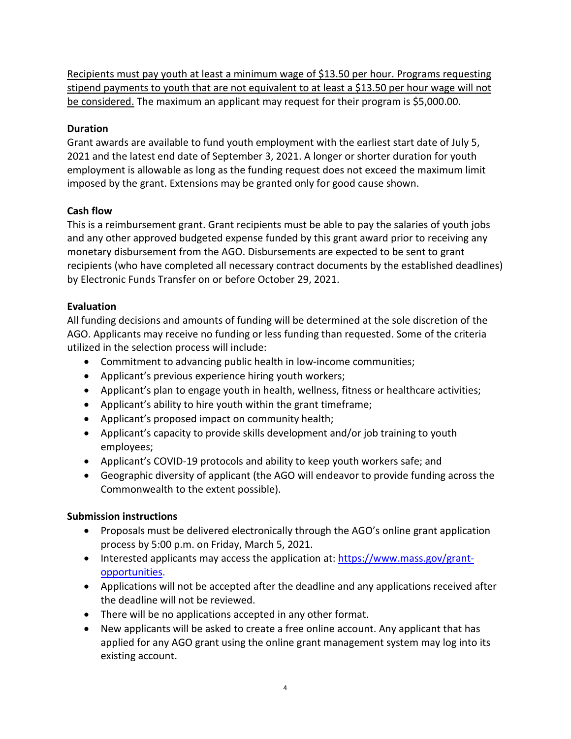Recipients must pay youth at least a minimum wage of \$13.50 per hour. Programs requesting stipend payments to youth that are not equivalent to at least a \$13.50 per hour wage will not be considered. The maximum an applicant may request for their program is \$5,000.00.

## **Duration**

Grant awards are available to fund youth employment with the earliest start date of July 5, 2021 and the latest end date of September 3, 2021. A longer or shorter duration for youth employment is allowable as long as the funding request does not exceed the maximum limit imposed by the grant. Extensions may be granted only for good cause shown.

## **Cash flow**

This is a reimbursement grant. Grant recipients must be able to pay the salaries of youth jobs and any other approved budgeted expense funded by this grant award prior to receiving any monetary disbursement from the AGO. Disbursements are expected to be sent to grant recipients (who have completed all necessary contract documents by the established deadlines) by Electronic Funds Transfer on or before October 29, 2021.

# **Evaluation**

All funding decisions and amounts of funding will be determined at the sole discretion of the AGO. Applicants may receive no funding or less funding than requested. Some of the criteria utilized in the selection process will include:

- Commitment to advancing public health in low-income communities;
- Applicant's previous experience hiring youth workers;
- Applicant's plan to engage youth in health, wellness, fitness or healthcare activities;
- Applicant's ability to hire youth within the grant timeframe;
- Applicant's proposed impact on community health;
- Applicant's capacity to provide skills development and/or job training to youth employees;
- Applicant's COVID-19 protocols and ability to keep youth workers safe; and
- Geographic diversity of applicant (the AGO will endeavor to provide funding across the Commonwealth to the extent possible).

#### **Submission instructions**

- Proposals must be delivered electronically through the AGO's online grant application process by 5:00 p.m. on Friday, March 5, 2021.
- Interested applicants may access the application at: [https://www.mass.gov/grant](https://www.mass.gov/grant-opportunities)[opportunities.](https://www.mass.gov/grant-opportunities)
- Applications will not be accepted after the deadline and any applications received after the deadline will not be reviewed.
- There will be no applications accepted in any other format.
- New applicants will be asked to create a free online account. Any applicant that has applied for any AGO grant using the online grant management system may log into its existing account.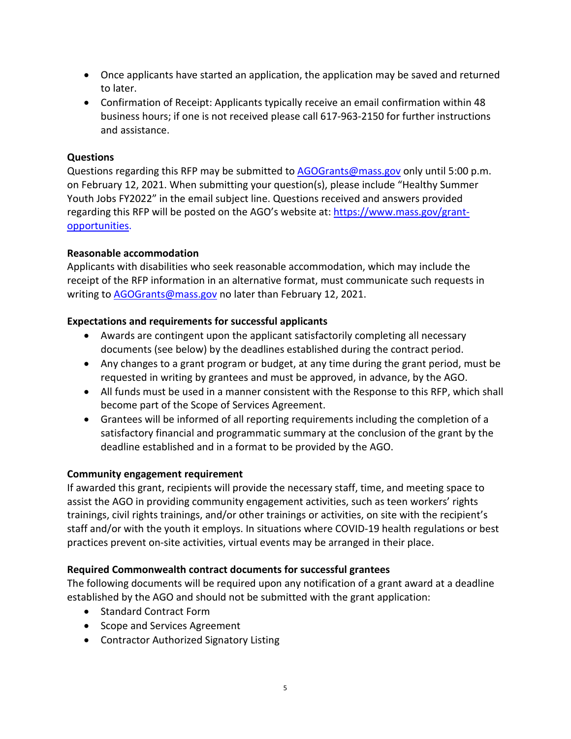- Once applicants have started an application, the application may be saved and returned to later.
- Confirmation of Receipt: Applicants typically receive an email confirmation within 48 business hours; if one is not received please call 617-963-2150 for further instructions and assistance.

#### **Questions**

Questions regarding this RFP may be submitted to [AGOGrants@mass.gov](file://Ago-fp-bos-001/CIED/Cy%20Pres/Risperdal/AGOgrants@state.ma.us%20) only until 5:00 p.m. on February 12, 2021. When submitting your question(s), please include "Healthy Summer Youth Jobs FY2022" in the email subject line. Questions received and answers provided regarding this RFP will be posted on the AGO's website at[: https://www.mass.gov/grant](https://www.mass.gov/grant-opportunities)[opportunities.](https://www.mass.gov/grant-opportunities)

#### **Reasonable accommodation**

Applicants with disabilities who seek reasonable accommodation, which may include the receipt of the RFP information in an alternative format, must communicate such requests in writing to [AGOGrants@mass.gov](mailto:AGOGrants@mass.gov) no later than February 12, 2021.

#### **Expectations and requirements for successful applicants**

- Awards are contingent upon the applicant satisfactorily completing all necessary documents (see below) by the deadlines established during the contract period.
- Any changes to a grant program or budget, at any time during the grant period, must be requested in writing by grantees and must be approved, in advance, by the AGO.
- All funds must be used in a manner consistent with the Response to this RFP, which shall become part of the Scope of Services Agreement.
- Grantees will be informed of all reporting requirements including the completion of a satisfactory financial and programmatic summary at the conclusion of the grant by the deadline established and in a format to be provided by the AGO.

#### **Community engagement requirement**

If awarded this grant, recipients will provide the necessary staff, time, and meeting space to assist the AGO in providing community engagement activities, such as teen workers' rights trainings, civil rights trainings, and/or other trainings or activities, on site with the recipient's staff and/or with the youth it employs. In situations where COVID-19 health regulations or best practices prevent on-site activities, virtual events may be arranged in their place.

#### **Required Commonwealth contract documents for successful grantees**

The following documents will be required upon any notification of a grant award at a deadline established by the AGO and should not be submitted with the grant application:

- Standard Contract Form
- Scope and Services Agreement
- Contractor Authorized Signatory Listing